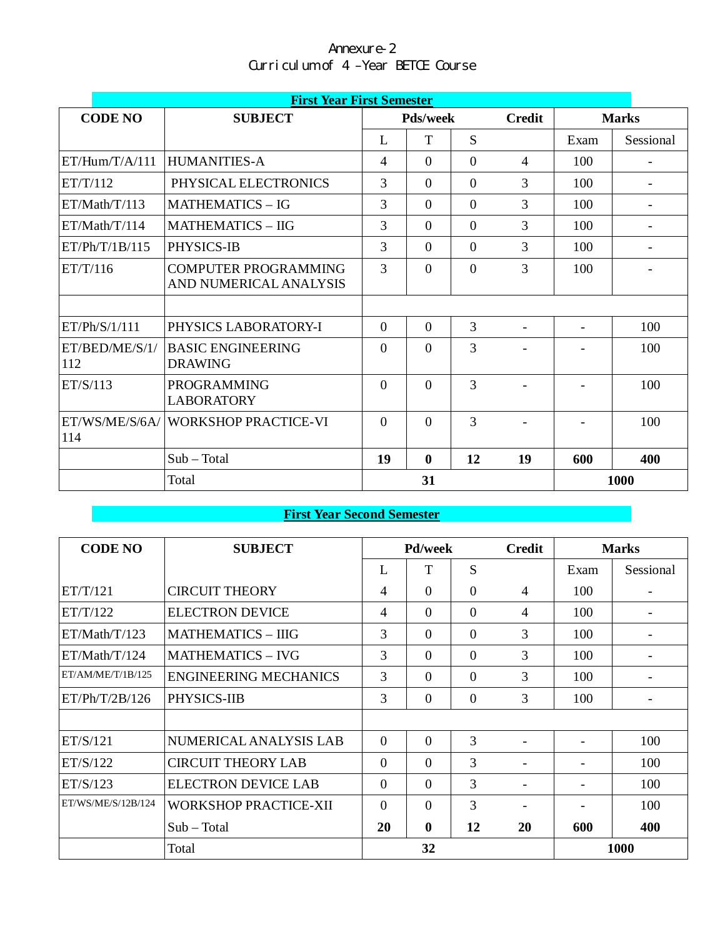| Annexure-2                         |  |  |  |  |  |  |  |  |  |
|------------------------------------|--|--|--|--|--|--|--|--|--|
| Curriculum of 4 -Year BETCE Course |  |  |  |  |  |  |  |  |  |

|                       | <b>First Year First Semester</b>                      |                |                 |                |                          |                          |                          |  |  |  |
|-----------------------|-------------------------------------------------------|----------------|-----------------|----------------|--------------------------|--------------------------|--------------------------|--|--|--|
| <b>CODE NO</b>        | <b>SUBJECT</b>                                        |                | <b>Pds/week</b> |                | <b>Credit</b>            |                          | <b>Marks</b>             |  |  |  |
|                       |                                                       | L              | T               | S              |                          | Exam                     | Sessional                |  |  |  |
| ET/Hum/T/A/111        | <b>HUMANITIES-A</b>                                   | $\overline{4}$ | $\Omega$        | $\Omega$       | 4                        | 100                      | $\overline{\phantom{0}}$ |  |  |  |
| ET/T/112              | PHYSICAL ELECTRONICS                                  | 3              | $\Omega$        | $\theta$       | 3                        | 100                      |                          |  |  |  |
| ET/Math/T/113         | <b>MATHEMATICS - IG</b>                               | 3              | $\Omega$        | $\Omega$       | 3                        | 100                      |                          |  |  |  |
| ET/Math/T/114         | <b>MATHEMATICS - IIG</b>                              | 3              | $\Omega$        | $\theta$       | 3                        | 100                      |                          |  |  |  |
| ET/Ph/T/1B/115        | PHYSICS-IB                                            | 3              | $\Omega$        | $\overline{0}$ | 3                        | 100                      |                          |  |  |  |
| ET/T/116              | <b>COMPUTER PROGRAMMING</b><br>AND NUMERICAL ANALYSIS | 3              | $\Omega$        | $\overline{0}$ | 3                        | 100                      |                          |  |  |  |
|                       |                                                       |                |                 |                |                          |                          |                          |  |  |  |
| ET/Ph/S/1/111         | PHYSICS LABORATORY-I                                  | $\theta$       | $\Omega$        | $\overline{3}$ | $\overline{\phantom{a}}$ | $\overline{\phantom{a}}$ | 100                      |  |  |  |
| ET/BED/ME/S/1/<br>112 | <b>BASIC ENGINEERING</b><br><b>DRAWING</b>            | $\theta$       | $\Omega$        | 3              |                          |                          | 100                      |  |  |  |
| ET/S/113              | <b>PROGRAMMING</b><br><b>LABORATORY</b>               | $\theta$       | $\theta$        | 3              |                          |                          | 100                      |  |  |  |
| ET/WS/ME/S/6A/<br>114 | <b>WORKSHOP PRACTICE-VI</b>                           | $\theta$       | $\Omega$        | $\overline{3}$ |                          |                          | 100                      |  |  |  |
|                       | $Sub - Total$                                         | 19             | $\mathbf{0}$    | 12             | 19                       | 600                      | 400                      |  |  |  |
|                       | Total                                                 |                | 31              |                |                          | 1000                     |                          |  |  |  |

# **First Year Second Semester**

| <b>CODE NO</b>     | <b>SUBJECT</b>               | <b>Pd/week</b> |          |          | <b>Credit</b>            | <b>Marks</b> |           |  |
|--------------------|------------------------------|----------------|----------|----------|--------------------------|--------------|-----------|--|
|                    |                              | L              | T        | S        |                          | Exam         | Sessional |  |
| ET/T/121           | <b>CIRCUIT THEORY</b>        | $\overline{4}$ | $\Omega$ | $\theta$ | $\overline{4}$           | 100          |           |  |
| ET/T/122           | <b>ELECTRON DEVICE</b>       | $\overline{4}$ | $\Omega$ | $\Omega$ | 4                        | 100          |           |  |
| ET/Math/T/123      | <b>MATHEMATICS - IIIG</b>    | 3              | $\Omega$ | $\Omega$ | 3                        | 100          |           |  |
| ET/Math/T/124      | <b>MATHEMATICS - IVG</b>     | 3              | $\Omega$ | $\theta$ | 3                        | 100          |           |  |
| ET/AM/ME/T/1B/125  | <b>ENGINEERING MECHANICS</b> | 3              | $\Omega$ | $\Omega$ | 3                        | 100          |           |  |
| ET/Ph/T/2B/126     | PHYSICS-IIB                  | 3              | $\theta$ | $\theta$ | 3                        | 100          |           |  |
|                    |                              |                |          |          |                          |              |           |  |
| ET/S/121           | NUMERICAL ANALYSIS LAB       | $\theta$       | $\Omega$ | 3        |                          |              | 100       |  |
| ET/S/122           | <b>CIRCUIT THEORY LAB</b>    | $\Omega$       | $\Omega$ | 3        |                          |              | 100       |  |
| ET/S/123           | <b>ELECTRON DEVICE LAB</b>   | $\theta$       | $\Omega$ | 3        |                          |              | 100       |  |
| ET/WS/ME/S/12B/124 | <b>WORKSHOP PRACTICE-XII</b> | $\Omega$       | $\Omega$ | 3        | $\overline{\phantom{a}}$ |              | 100       |  |
|                    | $Sub - Total$                | 20             | $\bf{0}$ | 12       | <b>20</b>                | 600          | 400       |  |
|                    | Total                        |                | 32       |          |                          | 1000         |           |  |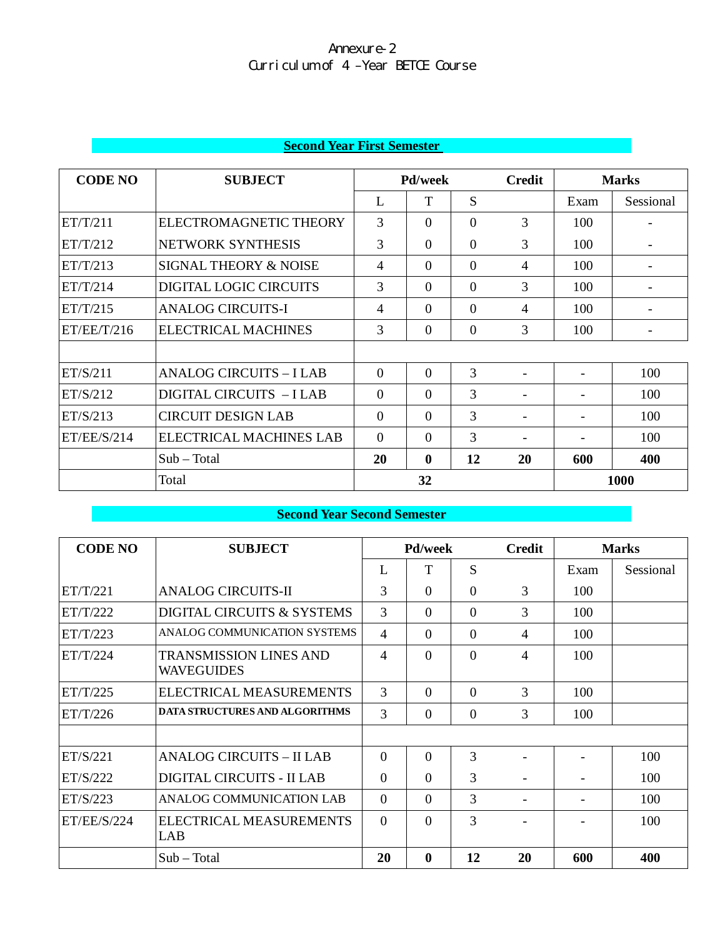|  |  | <b>Second Year First Semester</b> |
|--|--|-----------------------------------|
|  |  |                                   |

| <b>CODE NO</b> | <b>SUBJECT</b>                   |                | <b>Pd/week</b> |                |                          | <b>Marks</b> |           |
|----------------|----------------------------------|----------------|----------------|----------------|--------------------------|--------------|-----------|
|                |                                  | L              | T              | S              |                          | Exam         | Sessional |
| ET/T/211       | ELECTROMAGNETIC THEORY           | 3              | $\Omega$       | $\Omega$       | 3                        | 100          |           |
| ET/T/212       | NETWORK SYNTHESIS                | 3              | $\Omega$       | $\Omega$       | 3                        | 100          |           |
| ET/T/213       | <b>SIGNAL THEORY &amp; NOISE</b> | 4              | $\Omega$       | $\Omega$       | 4                        | 100          |           |
| ET/T/214       | DIGITAL LOGIC CIRCUITS           | 3              | $\Omega$       | $\Omega$       | 3                        | 100          |           |
| ET/T/215       | <b>ANALOG CIRCUITS-I</b>         | $\overline{4}$ | $\Omega$       | $\Omega$       | 4                        | 100          |           |
| ET/EE/T/216    | ELECTRICAL MACHINES              | 3              | $\Omega$       | $\overline{0}$ | 3                        | 100          |           |
|                |                                  |                |                |                |                          |              |           |
| ET/S/211       | <b>ANALOG CIRCUITS - I LAB</b>   | $\theta$       | $\Omega$       | 3              | $\overline{\phantom{0}}$ |              | 100       |
| ET/S/212       | DIGITAL CIRCUITS - I LAB         | $\Omega$       | $\Omega$       | 3              |                          |              | 100       |
| ET/S/213       | <b>CIRCUIT DESIGN LAB</b>        | $\Omega$       | $\Omega$       | 3              |                          |              | 100       |
| ET/EE/S/214    | <b>ELECTRICAL MACHINES LAB</b>   | $\Omega$       | $\Omega$       | 3              |                          |              | 100       |
|                | $Sub - Total$                    | 20             | $\mathbf{0}$   | 12             | 20                       | 600          | 400       |
|                | Total                            |                | 32             |                |                          |              | 1000      |

# **Second Year Second Semester**

| <b>CODE NO</b> | <b>SUBJECT</b>                              | <b>Pd/week</b> |             | <b>Credit</b> | <b>Marks</b>             |      |           |
|----------------|---------------------------------------------|----------------|-------------|---------------|--------------------------|------|-----------|
|                |                                             | L              | T           | S             |                          | Exam | Sessional |
| ET/T/221       | <b>ANALOG CIRCUITS-II</b>                   | 3              | $\Omega$    | $\theta$      | 3                        | 100  |           |
| ET/T/222       | DIGITAL CIRCUITS & SYSTEMS                  | 3              | $\Omega$    | $\Omega$      | 3                        | 100  |           |
| ET/T/223       | ANALOG COMMUNICATION SYSTEMS                | $\overline{4}$ | $\Omega$    | $\Omega$      | $\overline{4}$           | 100  |           |
| ET/T/224       | <b>TRANSMISSION LINES AND</b><br>WAVEGUIDES | $\overline{4}$ | $\Omega$    | $\Omega$      | 4                        | 100  |           |
| ET/T/225       | ELECTRICAL MEASUREMENTS                     | 3              | $\Omega$    | $\Omega$      | 3                        | 100  |           |
| ET/T/226       | <b>DATA STRUCTURES AND ALGORITHMS</b>       | 3              | $\Omega$    | $\Omega$      | 3                        | 100  |           |
|                |                                             |                |             |               |                          |      |           |
| ET/S/221       | <b>ANALOG CIRCUITS - II LAB</b>             | $\Omega$       | $\Omega$    | 3             |                          |      | 100       |
| ET/S/222       | <b>DIGITAL CIRCUITS - II LAB</b>            | $\Omega$       | $\Omega$    | 3             | $\overline{\phantom{a}}$ |      | 100       |
| ET/S/223       | ANALOG COMMUNICATION LAB                    | $\Omega$       | $\Omega$    | 3             |                          |      | 100       |
| ET/EE/S/224    | ELECTRICAL MEASUREMENTS<br>LAB              | $\Omega$       | $\Omega$    | 3             |                          |      | 100       |
|                | $Sub - Total$                               | 20             | $\mathbf 0$ | 12            | 20                       | 600  | 400       |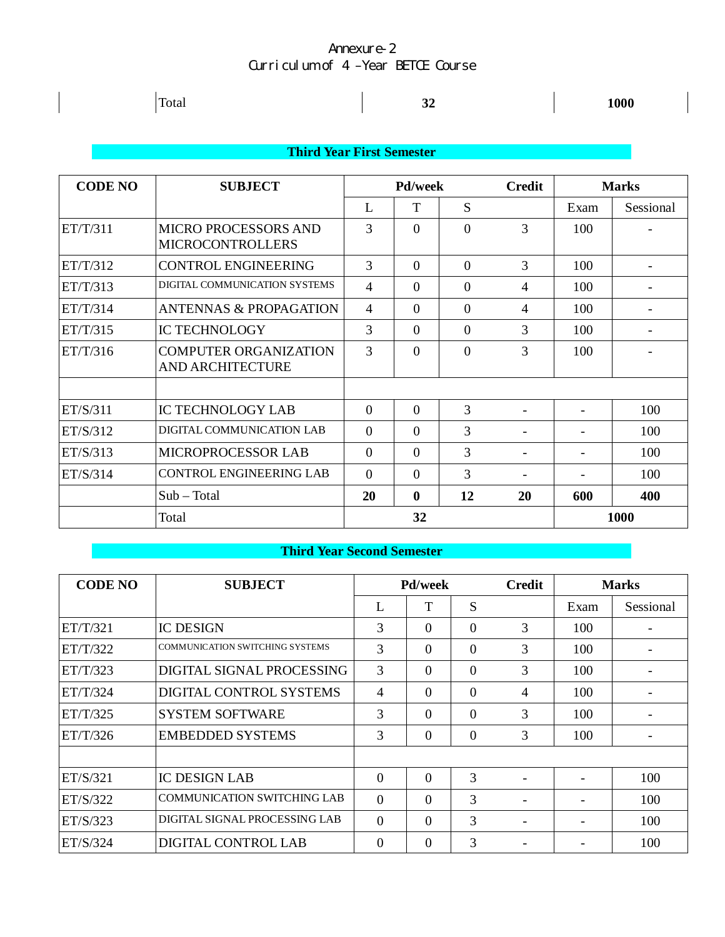| Total                     | <b>A</b> | 1000 |  |  |  |  |  |  |
|---------------------------|----------|------|--|--|--|--|--|--|
|                           |          |      |  |  |  |  |  |  |
| Third Year First Semester |          |      |  |  |  |  |  |  |

| <b>CODE NO</b> | <b>SUBJECT</b>                                          |                | <b>Pd/week</b> |          | <b>Credit</b> |      | <b>Marks</b>             |  |
|----------------|---------------------------------------------------------|----------------|----------------|----------|---------------|------|--------------------------|--|
|                |                                                         | L              | T              | S        |               | Exam | Sessional                |  |
| ET/T/311       | <b>MICRO PROCESSORS AND</b><br><b>MICROCONTROLLERS</b>  | 3              | $\Omega$       | $\Omega$ | 3             | 100  |                          |  |
| ET/T/312       | <b>CONTROL ENGINEERING</b>                              | 3              | $\Omega$       | $\Omega$ | 3             | 100  |                          |  |
| ET/T/313       | DIGITAL COMMUNICATION SYSTEMS                           | $\overline{4}$ | $\theta$       | $\theta$ | 4             | 100  | $\overline{\phantom{a}}$ |  |
| ET/T/314       | <b>ANTENNAS &amp; PROPAGATION</b>                       | 4              | $\Omega$       | $\theta$ | 4             | 100  |                          |  |
| ET/T/315       | <b>IC TECHNOLOGY</b>                                    | 3              | $\Omega$       | $\theta$ | 3             | 100  |                          |  |
| ET/T/316       | <b>COMPUTER ORGANIZATION</b><br><b>AND ARCHITECTURE</b> | 3              | $\Omega$       | $\theta$ | 3             | 100  |                          |  |
|                |                                                         |                |                |          |               |      |                          |  |
| ET/S/311       | <b>IC TECHNOLOGY LAB</b>                                | $\theta$       | $\theta$       | 3        |               |      | 100                      |  |
| ET/S/312       | DIGITAL COMMUNICATION LAB                               | $\Omega$       | $\Omega$       | 3        |               | ۰    | 100                      |  |
| ET/S/313       | <b>MICROPROCESSOR LAB</b>                               | $\Omega$       | $\Omega$       | 3        |               | ۰    | 100                      |  |
| ET/S/314       | <b>CONTROL ENGINEERING LAB</b>                          | $\Omega$       | $\overline{0}$ | 3        |               |      | 100                      |  |
|                | $Sub - Total$                                           | 20             | $\mathbf{0}$   | 12       | 20            | 600  | 400                      |  |
|                | Total                                                   |                | 32             |          |               |      | 1000                     |  |

## **Third Year Second Semester**

| <b>CODE NO</b> | <b>SUBJECT</b>                         | <b>Pd/week</b> |          | Credit         | <b>Marks</b>             |      |           |
|----------------|----------------------------------------|----------------|----------|----------------|--------------------------|------|-----------|
|                |                                        | L              | T        | S              |                          | Exam | Sessional |
| ET/T/321       | <b>IC DESIGN</b>                       | 3              | $\Omega$ | $\theta$       | 3                        | 100  |           |
| ET/T/322       | <b>COMMUNICATION SWITCHING SYSTEMS</b> | 3              | $\Omega$ | $\Omega$       | 3                        | 100  |           |
| ET/T/323       | DIGITAL SIGNAL PROCESSING              | 3              | $\Omega$ | $\overline{0}$ | 3                        | 100  |           |
| ET/T/324       | DIGITAL CONTROL SYSTEMS                | 4              | $\Omega$ | $\theta$       | 4                        | 100  |           |
| ET/T/325       | <b>SYSTEM SOFTWARE</b>                 | 3              | $\Omega$ | $\overline{0}$ | 3                        | 100  |           |
| ET/T/326       | <b>EMBEDDED SYSTEMS</b>                | 3              | $\Omega$ | $\theta$       | 3                        | 100  |           |
|                |                                        |                |          |                |                          |      |           |
| ET/S/321       | <b>IC DESIGN LAB</b>                   | $\Omega$       | $\Omega$ | 3              |                          |      | 100       |
| ET/S/322       | <b>COMMUNICATION SWITCHING LAB</b>     | $\Omega$       | $\Omega$ | 3              | $\overline{\phantom{a}}$ |      | 100       |
| ET/S/323       | DIGITAL SIGNAL PROCESSING LAB          | $\overline{0}$ | $\Omega$ | 3              |                          |      | 100       |
| ET/S/324       | DIGITAL CONTROL LAB                    | 0              | $\Omega$ | 3              |                          |      | 100       |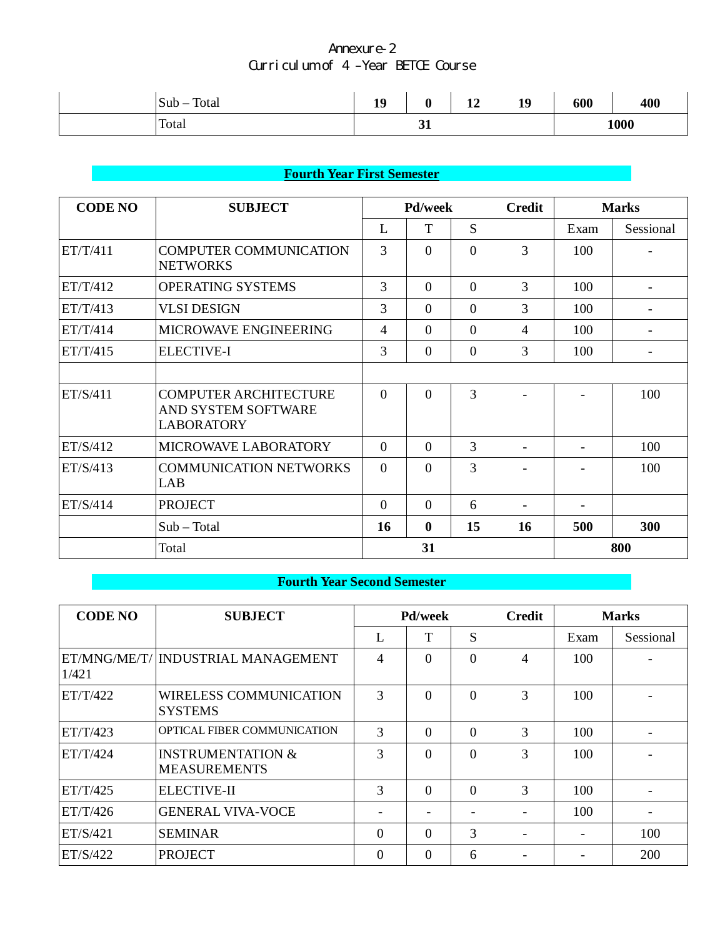| Total<br>Sub | 10<br>ᆚ | υ  | $\blacksquare$<br><b>TH</b> | 19 | 600 | 400  |
|--------------|---------|----|-----------------------------|----|-----|------|
| Total        |         | ັ້ |                             |    |     | 1000 |

# **Fourth Year First Semester**

| <b>CODE NO</b> | <b>SUBJECT</b>                                                           |                | Pd/week      |                | <b>Credit</b>            | <b>Marks</b> |                          |
|----------------|--------------------------------------------------------------------------|----------------|--------------|----------------|--------------------------|--------------|--------------------------|
|                |                                                                          | L              | T            | S              |                          | Exam         | Sessional                |
| ET/T/411       | <b>COMPUTER COMMUNICATION</b><br><b>NETWORKS</b>                         | 3              | $\Omega$     | $\Omega$       | 3                        | 100          |                          |
| ET/T/412       | <b>OPERATING SYSTEMS</b>                                                 | 3              | $\theta$     | $\overline{0}$ | 3                        | 100          |                          |
| ET/T/413       | <b>VLSI DESIGN</b>                                                       | 3              | $\Omega$     | $\overline{0}$ | 3                        | 100          |                          |
| ET/T/414       | MICROWAVE ENGINEERING                                                    | $\overline{4}$ | $\theta$     | $\overline{0}$ | $\overline{4}$           | 100          | $\overline{\phantom{a}}$ |
| ET/T/415       | <b>ELECTIVE-I</b>                                                        | 3              | $\Omega$     | $\theta$       | 3                        | 100          |                          |
|                |                                                                          |                |              |                |                          |              |                          |
| ET/S/411       | <b>COMPUTER ARCHITECTURE</b><br>AND SYSTEM SOFTWARE<br><b>LABORATORY</b> | $\Omega$       | $\theta$     | 3              |                          |              | 100                      |
| ET/S/412       | MICROWAVE LABORATORY                                                     | $\theta$       | $\theta$     | 3              |                          |              | 100                      |
| ET/S/413       | <b>COMMUNICATION NETWORKS</b><br>LAB                                     | $\Omega$       | $\Omega$     | 3              |                          |              | 100                      |
| ET/S/414       | <b>PROJECT</b>                                                           | $\Omega$       | $\Omega$     | 6              | $\overline{\phantom{a}}$ |              |                          |
|                | $Sub - Total$                                                            | 16             | $\mathbf{0}$ | 15             | 16                       | 500          | 300                      |
|                | Total                                                                    |                | 31           |                |                          |              | 800                      |

# **Fourth Year Second Semester**

| <b>CODE NO</b> | <b>SUBJECT</b>                                      |                | <b>Pd/week</b> |          | <b>Credit</b>  | <b>Marks</b> |                          |
|----------------|-----------------------------------------------------|----------------|----------------|----------|----------------|--------------|--------------------------|
|                |                                                     | L              | T              | S        |                | Exam         | Sessional                |
| 1/421          | ET/MNG/ME/T/ INDUSTRIAL MANAGEMENT                  | 4              | $\Omega$       | $\Omega$ | $\overline{4}$ | 100          |                          |
| ET/T/422       | <b>WIRELESS COMMUNICATION</b><br><b>SYSTEMS</b>     | 3              | $\Omega$       | $\Omega$ | 3              | 100          |                          |
| ET/T/423       | OPTICAL FIBER COMMUNICATION                         | 3              | $\Omega$       | $\Omega$ | 3              | 100          |                          |
| ET/T/424       | <b>INSTRUMENTATION &amp;</b><br><b>MEASUREMENTS</b> | 3              | $\Omega$       | $\Omega$ | 3              | 100          |                          |
| ET/T/425       | <b>ELECTIVE-II</b>                                  | 3              | $\Omega$       | $\Omega$ | 3              | 100          |                          |
| ET/T/426       | <b>GENERAL VIVA-VOCE</b>                            | -              |                |          |                | 100          | $\overline{\phantom{a}}$ |
| ET/S/421       | <b>SEMINAR</b>                                      | $\overline{0}$ | $\Omega$       | 3        |                |              | 100                      |
| ET/S/422       | <b>PROJECT</b>                                      | $\theta$       | $\Omega$       | 6        |                |              | 200                      |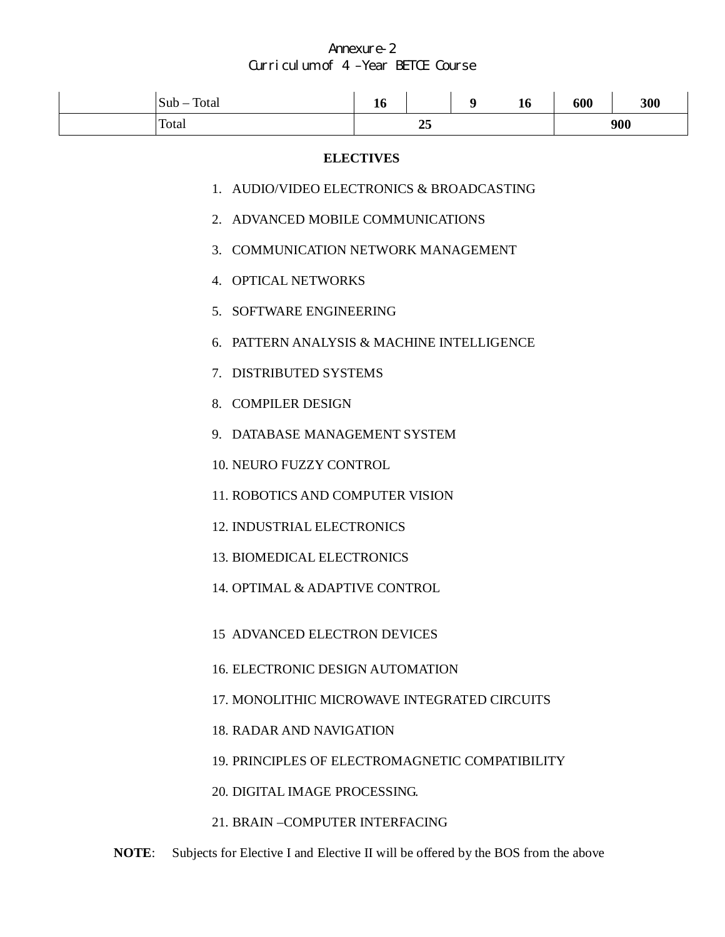| $Sub - Total$                                | 16                                              |  | 9 | 16 | 600 | 300 |  |
|----------------------------------------------|-------------------------------------------------|--|---|----|-----|-----|--|
| Total                                        | 25                                              |  |   |    | 900 |     |  |
| <b>ELECTIVES</b>                             |                                                 |  |   |    |     |     |  |
| 1. AUDIO/VIDEO ELECTRONICS & BROADCASTING    |                                                 |  |   |    |     |     |  |
| 2. ADVANCED MOBILE COMMUNICATIONS            |                                                 |  |   |    |     |     |  |
| 3. COMMUNICATION NETWORK MANAGEMENT          |                                                 |  |   |    |     |     |  |
| 4. OPTICAL NETWORKS                          |                                                 |  |   |    |     |     |  |
| 5. SOFTWARE ENGINEERING                      |                                                 |  |   |    |     |     |  |
| 6. PATTERN ANALYSIS & MACHINE INTELLIGENCE   |                                                 |  |   |    |     |     |  |
| 7. DISTRIBUTED SYSTEMS                       |                                                 |  |   |    |     |     |  |
| 8. COMPILER DESIGN                           |                                                 |  |   |    |     |     |  |
| 9. DATABASE MANAGEMENT SYSTEM                |                                                 |  |   |    |     |     |  |
| 10. NEURO FUZZY CONTROL                      |                                                 |  |   |    |     |     |  |
| <b>11. ROBOTICS AND COMPUTER VISION</b>      |                                                 |  |   |    |     |     |  |
| 12. INDUSTRIAL ELECTRONICS                   |                                                 |  |   |    |     |     |  |
| <b>13. BIOMEDICAL ELECTRONICS</b>            |                                                 |  |   |    |     |     |  |
| 14. OPTIMAL & ADAPTIVE CONTROL               |                                                 |  |   |    |     |     |  |
| 15 ADVANCED ELECTRON DEVICES                 |                                                 |  |   |    |     |     |  |
| 16. ELECTRONIC DESIGN AUTOMATION             |                                                 |  |   |    |     |     |  |
| 17. MONOLITHIC MICROWAVE INTEGRATED CIRCUITS |                                                 |  |   |    |     |     |  |
|                                              | <b>18. RADAR AND NAVIGATION</b>                 |  |   |    |     |     |  |
|                                              | 19. PRINCIPLES OF ELECTROMAGNETIC COMPATIBILITY |  |   |    |     |     |  |
| 20. DIGITAL IMAGE PROCESSING.                |                                                 |  |   |    |     |     |  |

21. BRAIN –COMPUTER INTERFACING

**NOTE**: Subjects for Elective I and Elective II will be offered by the BOS from the above